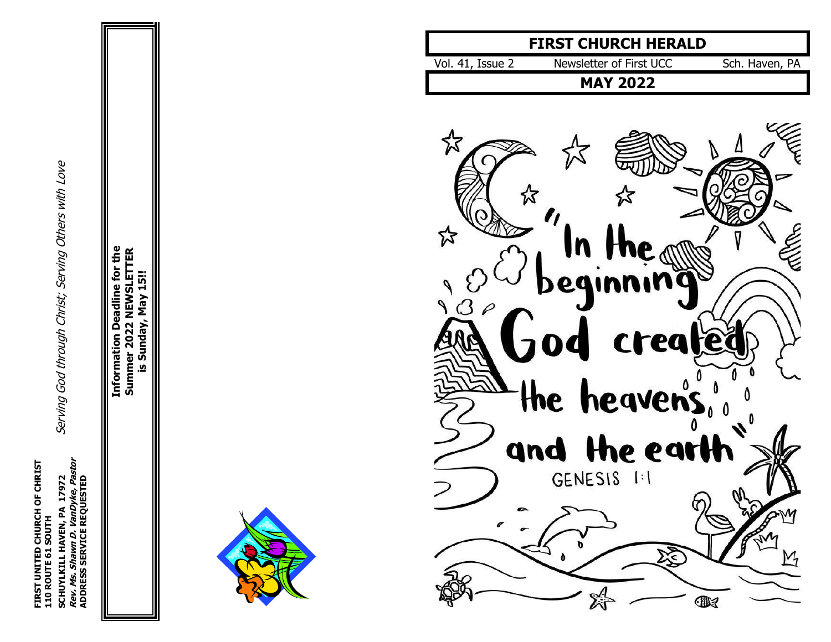SCHUYLKILL HAVEN, PA 17972<br>*Rev. Ms. Shawn D. Vandyke, Pastor*<br>ADDRESS SERVICE REQUESTED **FIRST UNITED CHURCH OF CHRIST Rev. Ms. Shawn D. VanDyke, Pastor** FIRST UNITED CHURCH OF CHRIST<br>110 ROUTE 61 SOUTH **ADDRESS SERVICE REQUESTED 110 ROUTE 61 SOUTH**

Serving God through Christ; Serving Others with Love **SCHUYLKILL HAVEN, PA 17972** Serving God through Christ; Serving Others with Love

**Information Deadline for the Information Deadline for the Summer 2022 NEWSLETTER** Summer 2022 NEWSLETTER is Sunday, May 15!! **is Sunday, May 15!!**



# **FIRST CHURCH HERALD**

| Newsletter of First UCC<br>Sch. Haven, PA<br>Vol. 41, Issue 2 |  |
|---------------------------------------------------------------|--|
|---------------------------------------------------------------|--|

**MAY 2022**

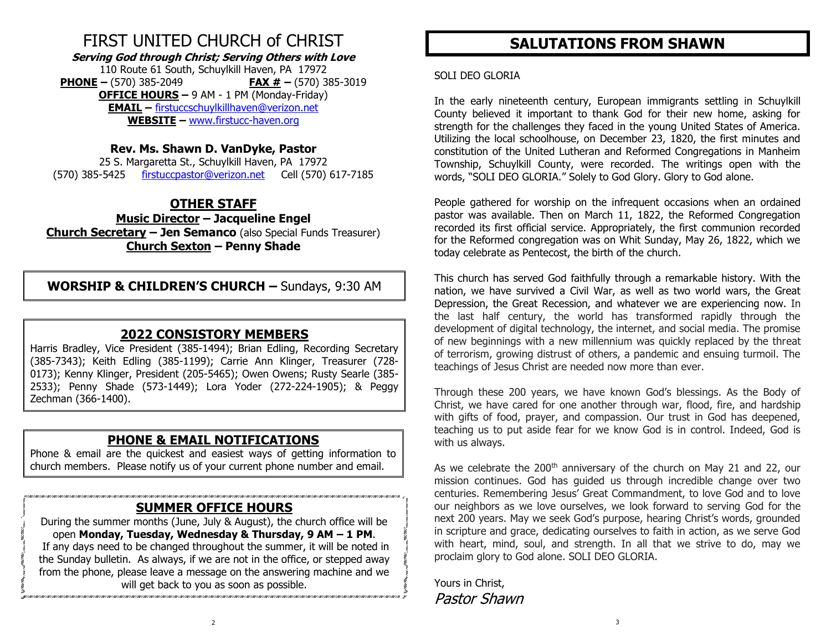# FIRST UNITED CHURCH of CHRIST

**Serving God through Christ; Serving Others with Love** 110 Route 61 South, Schuylkill Haven, PA 17972

**PHONE –** (570) 385-2049 **FAX # –** (570) 385-3019 **OFFICE HOURS –** 9 AM - 1 PM (Monday-Friday) **EMAIL –** [firstuccschuylkillhaven@verizon.net](mailto:firstuccschuylkillhaven@verizon.net) **WEBSITE –** [www.firstucc-haven.org](http://www.firstucc-haven.org/)

### **Rev. Ms. Shawn D. VanDyke, Pastor**

25 S. Margaretta St., Schuylkill Haven, PA 17972 (570) 385-5425 [firstuccpastor@verizon.net](mailto:firstuccpastor@verizon.net) Cell (570) 617-7185

### **OTHER STAFF**

**Music Director – Jacqueline Engel Church Secretary – Jen Semanco** (also Special Funds Treasurer) **Church Sexton – Penny Shade**

**WORSHIP & CHILDREN'S CHURCH –** Sundays, 9:30 AM

### **2022 CONSISTORY MEMBERS**

Harris Bradley, Vice President (385-1494); Brian Edling, Recording Secretary (385-7343); Keith Edling (385-1199); Carrie Ann Klinger, Treasurer (728- 0173); Kenny Klinger, President (205-5465); Owen Owens; Rusty Searle (385- 2533); Penny Shade (573-1449); Lora Yoder (272-224-1905); & Peggy Zechman (366-1400).

### **PHONE & EMAIL NOTIFICATIONS**

Phone & email are the quickest and easiest ways of getting information to church members. Please notify us of your current phone number and email.

### **SUMMER OFFICE HOURS**

During the summer months (June, July & August), the church office will be open **Monday, Tuesday, Wednesday & Thursday, 9 AM – 1 PM**. If any days need to be changed throughout the summer, it will be noted in the Sunday bulletin. As always, if we are not in the office, or stepped away from the phone, please leave a message on the answering machine and we will get back to you as soon as possible.

### **SALUTATIONS FROM SHAWN**

#### SOLI DEO GLORIA

In the early nineteenth century, European immigrants settling in Schuylkill County believed it important to thank God for their new home, asking for strength for the challenges they faced in the young United States of America. Utilizing the local schoolhouse, on December 23, 1820, the first minutes and constitution of the United Lutheran and Reformed Congregations in Manheim Township, Schuylkill County, were recorded. The writings open with the words, "SOLI DEO GLORIA." Solely to God Glory. Glory to God alone.

People gathered for worship on the infrequent occasions when an ordained pastor was available. Then on March 11, 1822, the Reformed Congregation recorded its first official service. Appropriately, the first communion recorded for the Reformed congregation was on Whit Sunday, May 26, 1822, which we today celebrate as Pentecost, the birth of the church.

This church has served God faithfully through a remarkable history. With the nation, we have survived a Civil War, as well as two world wars, the Great Depression, the Great Recession, and whatever we are experiencing now. In the last half century, the world has transformed rapidly through the development of digital technology, the internet, and social media. The promise of new beginnings with a new millennium was quickly replaced by the threat of terrorism, growing distrust of others, a pandemic and ensuing turmoil. The teachings of Jesus Christ are needed now more than ever.

Through these 200 years, we have known God's blessings. As the Body of Christ, we have cared for one another through war, flood, fire, and hardship with gifts of food, prayer, and compassion. Our trust in God has deepened, teaching us to put aside fear for we know God is in control. Indeed, God is with us always.

As we celebrate the 200<sup>th</sup> anniversary of the church on May 21 and 22, our mission continues. God has guided us through incredible change over two centuries. Remembering Jesus' Great Commandment, to love God and to love our neighbors as we love ourselves, we look forward to serving God for the next 200 years. May we seek God's purpose, hearing Christ's words, grounded in scripture and grace, dedicating ourselves to faith in action, as we serve God with heart, mind, soul, and strength. In all that we strive to do, may we proclaim glory to God alone. SOLI DEO GLORIA.

Yours in Christ, Pastor Shawn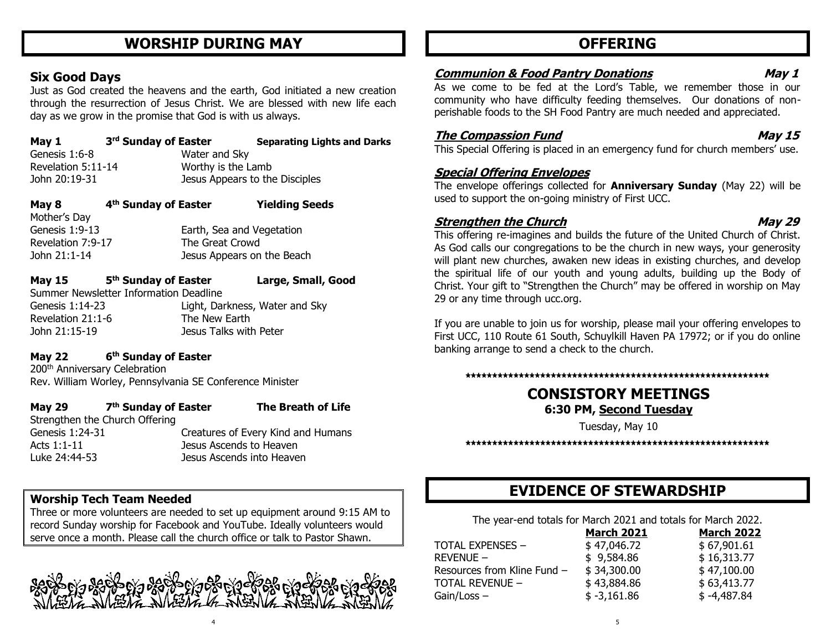### **WORSHIP DURING MAY**

### **Six Good Days**

Just as God created the heavens and the earth, God initiated a new creation through the resurrection of Jesus Christ. We are blessed with new life each day as we grow in the promise that God is with us always.

| May 1              | 3 <sup>rd</sup> Sunday of Easter |                                | <b>Separating Lights and Darks</b> |
|--------------------|----------------------------------|--------------------------------|------------------------------------|
| Genesis 1:6-8      |                                  | Water and Sky                  |                                    |
| Revelation 5:11-14 |                                  | Worthy is the Lamb             |                                    |
| John 20:19-31      |                                  | Jesus Appears to the Disciples |                                    |
|                    |                                  |                                |                                    |

| May 8             | 4 <sup>th</sup> Sunday of Easter |                           | <b>Yielding Seeds</b>      |
|-------------------|----------------------------------|---------------------------|----------------------------|
| Mother's Day      |                                  |                           |                            |
| Genesis 1:9-13    |                                  | Earth, Sea and Vegetation |                            |
| Revelation 7:9-17 |                                  | The Great Crowd           |                            |
| John 21:1-14      |                                  |                           | Jesus Appears on the Beach |
|                   |                                  |                           |                            |

| <b>May 15</b>     | 5 <sup>th</sup> Sunday of Easter       |                                | Large, Small, Good |
|-------------------|----------------------------------------|--------------------------------|--------------------|
|                   | Summer Newsletter Information Deadline |                                |                    |
| Genesis 1:14-23   |                                        | Light, Darkness, Water and Sky |                    |
| Revelation 21:1-6 |                                        | The New Earth                  |                    |
| John 21:15-19     |                                        | Jesus Talks with Peter         |                    |

#### **May 22 6 th Sunday of Easter**

200th Anniversary Celebration Rev. William Worley, Pennsylvania SE Conference Minister

#### **May 29 th Sunday of Easter The Breath of Life**

Strengthen the Church Offering

Genesis 1:24-31 Creatures of Every Kind and Humans Acts 1:1-11 Jesus Ascends to Heaven Luke 24:44-53 Jesus Ascends into Heaven

### **Worship Tech Team Needed**

Three or more volunteers are needed to set up equipment around 9:15 AM to record Sunday worship for Facebook and YouTube. Ideally volunteers would serve once a month. Please call the church office or talk to Pastor Shawn.



4

### **OFFERING**

### **Communion & Food Pantry Donations May 1**

As we come to be fed at the Lord's Table, we remember those in our community who have difficulty feeding themselves. Our donations of nonperishable foods to the SH Food Pantry are much needed and appreciated.

### **The Compassion Fund May 15**

This Special Offering is placed in an emergency fund for church members' use.

#### **Special Offering Envelopes**

The envelope offerings collected for **Anniversary Sunday** (May 22) will be used to support the on-going ministry of First UCC.

#### **Strengthen the Church May 29 May 29**

This offering re-imagines and builds the future of the United Church of Christ. As God calls our congregations to be the church in new ways, your generosity will plant new churches, awaken new ideas in existing churches, and develop the spiritual life of our youth and young adults, building up the Body of Christ. Your gift to "Strengthen the Church" may be offered in worship on May 29 or any time through ucc.org.

If you are unable to join us for worship, please mail your offering envelopes to First UCC, 110 Route 61 South, Schuylkill Haven PA 17972; or if you do online banking arrange to send a check to the church.

#### **\*\*\*\*\*\*\*\*\*\*\*\*\*\*\*\*\*\*\*\*\*\*\*\*\*\*\*\*\*\*\*\*\*\*\*\*\*\*\*\*\*\*\*\*\*\*\*\*\*\*\*\*\*\*\*\*\***

### **CONSISTORY MEETINGS 6:30 PM, Second Tuesday**

Tuesday, May 10

**\*\*\*\*\*\*\*\*\*\*\*\*\*\*\*\*\*\*\*\*\*\*\*\*\*\*\*\*\*\*\*\*\*\*\*\*\*\*\*\*\*\*\*\*\*\*\*\*\*\*\*\*\*\*\*\*\***

### **EVIDENCE OF STEWARDSHIP**

The year-end totals for March 2021 and totals for March 2022.

| TOTAL EXPENSES -<br>\$47,046.72<br>\$67,901.61            |  |
|-----------------------------------------------------------|--|
| \$16,313.77<br>Revenue —<br>\$9,584.86                    |  |
| \$47,100.00<br>\$34,300.00<br>Resources from Kline Fund – |  |
| \$63,413.77<br>\$43,884.86<br>TOTAL REVENUE -             |  |
| $$ -3,161.86$<br>$$ -4,487.84$<br>Gain/Loss –             |  |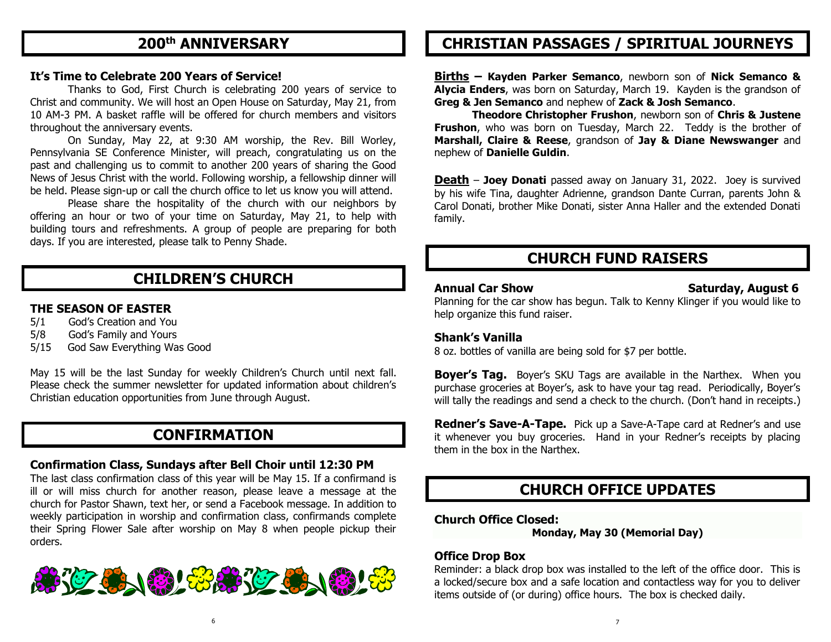### **200th ANNIVERSARY**

#### **It's Time to Celebrate 200 Years of Service!**

Thanks to God, First Church is celebrating 200 years of service to Christ and community. We will host an Open House on Saturday, May 21, from 10 AM-3 PM. A basket raffle will be offered for church members and visitors throughout the anniversary events.

On Sunday, May 22, at 9:30 AM worship, the Rev. Bill Worley, Pennsylvania SE Conference Minister, will preach, congratulating us on the past and challenging us to commit to another 200 years of sharing the Good News of Jesus Christ with the world. Following worship, a fellowship dinner will be held. Please sign-up or call the church office to let us know you will attend.

Please share the hospitality of the church with our neighbors by offering an hour or two of your time on Saturday, May 21, to help with building tours and refreshments. A group of people are preparing for both days. If you are interested, please talk to Penny Shade.

### **CHILDREN'S CHURCH**

#### **THE SEASON OF EASTER**

- 5/1 God's Creation and You
- 5/8 God's Family and Yours
- 5/15 God Saw Everything Was Good

May 15 will be the last Sunday for weekly Children's Church until next fall. Please check the summer newsletter for updated information about children's Christian education opportunities from June through August.

### **CONFIRMATION**

#### **Confirmation Class, Sundays after Bell Choir until 12:30 PM**

The last class confirmation class of this year will be May 15. If a confirmand is ill or will miss church for another reason, please leave a message at the church for Pastor Shawn, text her, or send a Facebook message. In addition to weekly participation in worship and confirmation class, confirmands complete their Spring Flower Sale after worship on May 8 when people pickup their orders.



### **CHRISTIAN PASSAGES / SPIRITUAL JOURNEYS**

**Births – Kayden Parker Semanco**, newborn son of **Nick Semanco & Alycia Enders**, was born on Saturday, March 19. Kayden is the grandson of **Greg & Jen Semanco** and nephew of **Zack & Josh Semanco**.

**Theodore Christopher Frushon**, newborn son of **Chris & Justene Frushon**, who was born on Tuesday, March 22. Teddy is the brother of **Marshall, Claire & Reese**, grandson of **Jay & Diane Newswanger** and nephew of **Danielle Guldin**.

**Death** – **Joey Donati** passed away on January 31, 2022. Joey is survived by his wife Tina, daughter Adrienne, grandson Dante Curran, parents John & Carol Donati, brother Mike Donati, sister Anna Haller and the extended Donati family.

### **CHURCH FUND RAISERS**

#### **Annual Car Show Saturday, August 6**

Planning for the car show has begun. Talk to Kenny Klinger if you would like to help organize this fund raiser.

#### **Shank's Vanilla**

8 oz. bottles of vanilla are being sold for \$7 per bottle.

**Boyer's Tag.** Boyer's SKU Tags are available in the Narthex. When you purchase groceries at Boyer's, ask to have your tag read. Periodically, Boyer's will tally the readings and send a check to the church. (Don't hand in receipts.)

**Redner's Save-A-Tape.** Pick up a Save-A-Tape card at Redner's and use it whenever you buy groceries. Hand in your Redner's receipts by placing them in the box in the Narthex.

### **CHURCH OFFICE UPDATES**

#### **Church Office Closed:**

**Monday, May 30 (Memorial Day)**

#### **Office Drop Box**

Reminder: a black drop box was installed to the left of the office door. This is a locked/secure box and a safe location and contactless way for you to deliver items outside of (or during) office hours. The box is checked daily.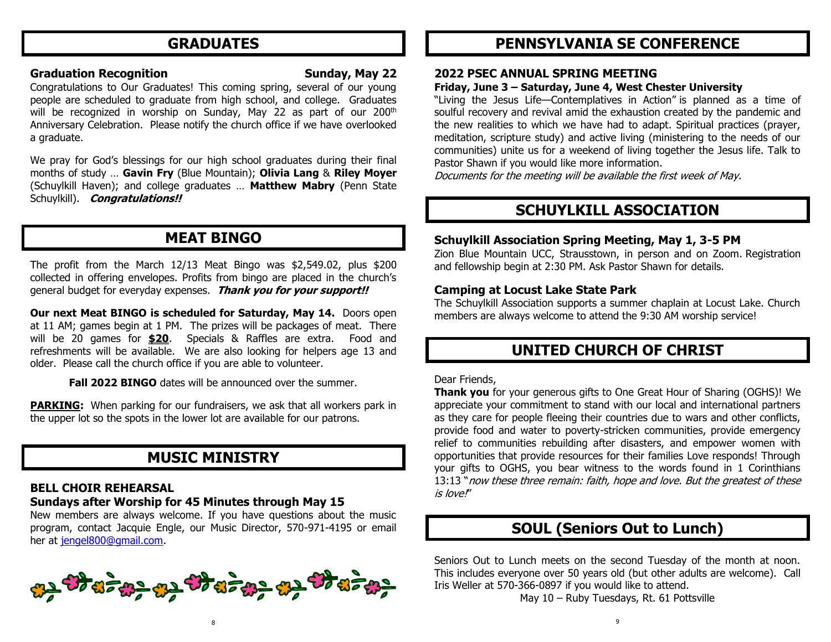### **GRADUATES**

#### **Graduation Recognition Communisty Sunday, May 22**

Congratulations to Our Graduates! This coming spring, several of our young people are scheduled to graduate from high school, and college. Graduates will be recognized in worship on Sunday, May 22 as part of our 200<sup>th</sup> Anniversary Celebration. Please notify the church office if we have overlooked a graduate.

We pray for God's blessings for our high school graduates during their final months of study … **Gavin Fry** (Blue Mountain); **Olivia Lang** & **Riley Moyer** (Schuylkill Haven); and college graduates … **Matthew Mabry** (Penn State Schuylkill). **Congratulations!!** 

### **MEAT BINGO**

The profit from the March 12/13 Meat Bingo was \$2,549.02, plus \$200 collected in offering envelopes. Profits from bingo are placed in the church's general budget for everyday expenses. **Thank you for your support!!**

**Our next Meat BINGO is scheduled for Saturday, May 14.** Doors open at 11 AM; games begin at 1 PM. The prizes will be packages of meat. There will be 20 games for **\$20**. Specials & Raffles are extra. Food and refreshments will be available. We are also looking for helpers age 13 and older. Please call the church office if you are able to volunteer.

**Fall 2022 BINGO** dates will be announced over the summer.

**PARKING:** When parking for our fundraisers, we ask that all workers park in the upper lot so the spots in the lower lot are available for our patrons.

### **MUSIC MINISTRY**

#### **BELL CHOIR REHEARSAL**

### **Sundays after Worship for 45 Minutes through May 15**

New members are always welcome. If you have questions about the music program, contact Jacquie Engle, our Music Director, 570-971-4195 or email her at [jengel800@gmail.com.](mailto:jengel800@gmail.com)



### **PENNSYLVANIA SE CONFERENCE**

#### **2022 PSEC ANNUAL SPRING MEETING**

#### **Friday, June 3 – Saturday, June 4, West Chester University**

"Living the Jesus Life—Contemplatives in Action" is planned as a time of soulful recovery and revival amid the exhaustion created by the pandemic and the new realities to which we have had to adapt. Spiritual practices (prayer, meditation, scripture study) and active living (ministering to the needs of our communities) unite us for a weekend of living together the Jesus life. Talk to Pastor Shawn if you would like more information.

Documents for the meeting will be available the first week of May.

### **SCHUYLKILL ASSOCIATION**

#### **Schuylkill Association Spring Meeting, May 1, 3-5 PM**

Zion Blue Mountain UCC, Strausstown, in person and on Zoom. Registration and fellowship begin at 2:30 PM. Ask Pastor Shawn for details.

#### **Camping at Locust Lake State Park**

The Schuylkill Association supports a summer chaplain at Locust Lake. Church members are always welcome to attend the 9:30 AM worship service!

### **UNITED CHURCH OF CHRIST**

#### Dear Friends,

**Thank you** for your generous gifts to One Great Hour of Sharing (OGHS)! We appreciate your commitment to stand with our local and international partners as they care for people fleeing their countries due to wars and other conflicts, provide food and water to poverty-stricken communities, provide emergency relief to communities rebuilding after disasters, and empower women with opportunities that provide resources for their families Love responds! Through your gifts to OGHS, you bear witness to the words found in 1 Corinthians 13:13 "now these three remain: faith, hope and love. But the greatest of these is love!"

### **SOUL (Seniors Out to Lunch)**

Seniors Out to Lunch meets on the second Tuesday of the month at noon. This includes everyone over 50 years old (but other adults are welcome). Call Iris Weller at 570-366-0897 if you would like to attend.

May 10 – Ruby Tuesdays, Rt. 61 Pottsville